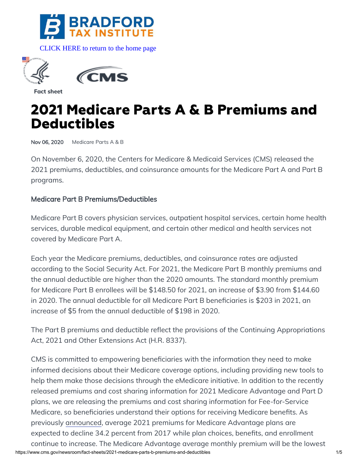

[CLICK HERE to return to the home page](https://bradfordtaxinstitute.com) 



**Fact sheet**

# **2021 Medicare Parts A & B Premiums and Deductibles**

Nov 06, 2020 [Medicare Parts A & B](https://www.cms.gov/newsroom/search?search_api_language=en&sort_by=field_date&sort_order=DESC&items_per_page=10&f%5B0%5D=topic%3A231)

On November 6, 2020, the Centers for Medicare & Medicaid Services (CMS) released the 2021 premiums, deductibles, and coinsurance amounts for the Medicare Part A and Part B programs.

#### Medicare Part B Premiums/Deductibles

Medicare Part B covers physician services, outpatient hospital services, certain home health services, durable medical equipment, and certain other medical and health services not covered by Medicare Part A.

Each year the Medicare premiums, deductibles, and coinsurance rates are adjusted according to the Social Security Act. For 2021, the Medicare Part B monthly premiums and the annual deductible are higher than the 2020 amounts. The standard monthly premium for Medicare Part B enrollees will be \$148.50 for 2021, an increase of \$3.90 from \$144.60 in 2020. The annual deductible for all Medicare Part B beneficiaries is \$203 in 2021, an increase of \$5 from the annual deductible of \$198 in 2020.

The Part B premiums and deductible reflect the provisions of the Continuing Appropriations Act, 2021 and Other Extensions Act (H.R. 8337).

https://www.cms.gov/newsroom/fact-sheets/2021-medicare-parts-b-premiums-and-deductibles 1/5 CMS is committed to empowering beneficiaries with the information they need to make informed decisions about their Medicare coverage options, including providing new tools to help them make those decisions through the eMedicare initiative. In addition to the recently released premiums and cost sharing information for 2021 Medicare Advantage and Part D plans, we are releasing the premiums and cost sharing information for Fee-for-Service Medicare, so beneficiaries understand their options for receiving Medicare benefits. As previously [announced,](https://www.cms.gov/newsroom/press-releases/2021-medicare-advantage-and-part-d-plan-information-now-available-medicaregov-ahead-medicare-open) average 2021 premiums for Medicare Advantage plans are expected to decline 34.2 percent from 2017 while plan choices, benefits, and enrollment continue to increase. The Medicare Advantage average monthly premium will be the lowest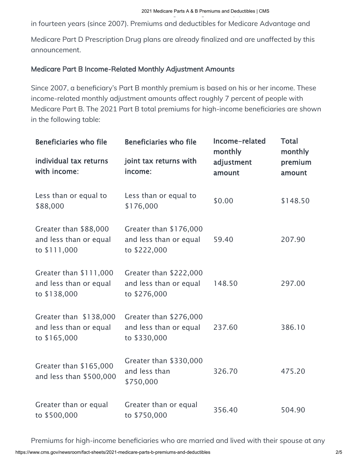in fourteen years (since 2007). Premiums and deductibles for Medicare Advantage and

Medicare Part D Prescription Drug plans are already finalized and are unaffected by this announcement.

### Medicare Part B Income-Related Monthly Adjustment Amounts

Since 2007, a beneficiary's Part B monthly premium is based on his or her income. These income-related monthly adjustment amounts affect roughly 7 percent of people with Medicare Part B. The 2021 Part B total premiums for high-income beneficiaries are shown in the following table:

| <b>Beneficiaries who file</b><br>individual tax returns<br>with income: | <b>Beneficiaries who file</b><br>joint tax returns with<br>income: | Income-related<br>monthly<br>adjustment<br>amount | <b>Total</b><br>monthly<br>premium<br>amount |
|-------------------------------------------------------------------------|--------------------------------------------------------------------|---------------------------------------------------|----------------------------------------------|
| Less than or equal to<br>\$88,000                                       | Less than or equal to<br>\$176,000                                 | \$0.00                                            | \$148.50                                     |
| Greater than \$88,000<br>and less than or equal<br>to \$111,000         | Greater than \$176,000<br>and less than or equal<br>to \$222,000   | 59.40                                             | 207.90                                       |
| Greater than \$111,000<br>and less than or equal<br>to \$138,000        | Greater than \$222,000<br>and less than or equal<br>to \$276,000   | 148.50                                            | 297.00                                       |
| Greater than \$138,000<br>and less than or equal<br>to \$165,000        | Greater than \$276,000<br>and less than or equal<br>to \$330,000   | 237.60                                            | 386.10                                       |
| Greater than \$165,000<br>and less than \$500,000                       | Greater than \$330,000<br>and less than<br>\$750,000               | 326.70                                            | 475.20                                       |
| Greater than or equal<br>to \$500,000                                   | Greater than or equal<br>to \$750,000                              | 356.40                                            | 504.90                                       |

Premiums for high-income beneficiaries who are married and lived with their spouse at any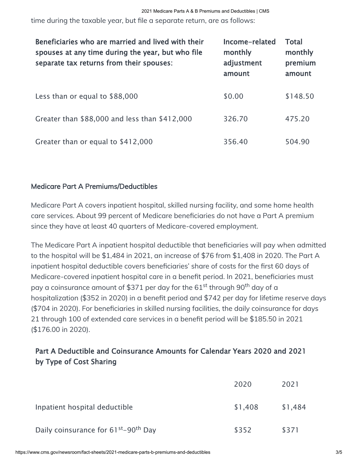time during the taxable year, but file a separate return, are as follows:

| Beneficiaries who are married and lived with their<br>spouses at any time during the year, but who file<br>separate tax returns from their spouses: | Income-related<br>monthly<br>adjustment<br>amount | <b>Total</b><br>monthly<br>premium<br>amount |
|-----------------------------------------------------------------------------------------------------------------------------------------------------|---------------------------------------------------|----------------------------------------------|
| Less than or equal to \$88,000                                                                                                                      | \$0.00                                            | \$148.50                                     |
| Greater than \$88,000 and less than \$412,000                                                                                                       | 326.70                                            | 475.20                                       |
| Greater than or equal to \$412,000                                                                                                                  | 356.40                                            | 504.90                                       |

#### Medicare Part A Premiums/Deductibles

Medicare Part A covers inpatient hospital, skilled nursing facility, and some home health care services. About 99 percent of Medicare beneficiaries do not have a Part A premium since they have at least 40 quarters of Medicare-covered employment.

The Medicare Part A inpatient hospital deductible that beneficiaries will pay when admitted to the hospital will be \$1,484 in 2021, an increase of \$76 from \$1,408 in 2020. The Part A inpatient hospital deductible covers beneficiaries' share of costs for the first 60 days of Medicare-covered inpatient hospital care in a benefit period. In 2021, beneficiaries must pay a coinsurance amount of \$371 per day for the 61<sup>st</sup> through 90<sup>th</sup> day of a hospitalization (\$352 in 2020) in a benefit period and \$742 per day for lifetime reserve days (\$704 in 2020). For beneficiaries in skilled nursing facilities, the daily coinsurance for days 21 through 100 of extended care services in a benefit period will be \$185.50 in 2021 (\$176.00 in 2020).

## Part A Deductible and Coinsurance Amounts for Calendar Years 2020 and 2021 by Type of Cost Sharing

|                                                              | 2020    | 2021    |
|--------------------------------------------------------------|---------|---------|
| Inpatient hospital deductible                                | \$1,408 | \$1,484 |
| Daily coinsurance for 61 <sup>st</sup> –90 <sup>th</sup> Day | \$352   | \$371   |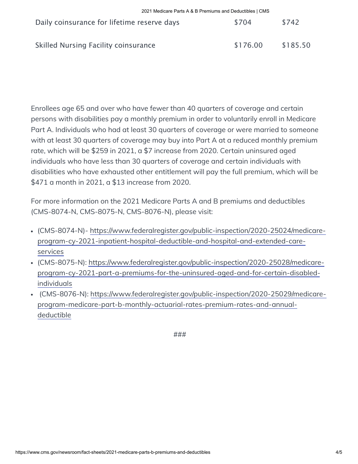| Daily coinsurance for lifetime reserve days | \$704    | \$742    |
|---------------------------------------------|----------|----------|
| Skilled Nursing Facility coinsurance        | \$176.00 | \$185.50 |

Enrollees age 65 and over who have fewer than 40 quarters of coverage and certain persons with disabilities pay a monthly premium in order to voluntarily enroll in Medicare Part A. Individuals who had at least 30 quarters of coverage or were married to someone with at least 30 quarters of coverage may buy into Part A at a reduced monthly premium rate, which will be \$259 in 2021, a \$7 increase from 2020. Certain uninsured aged individuals who have less than 30 quarters of coverage and certain individuals with disabilities who have exhausted other entitlement will pay the full premium, which will be \$471 a month in 2021, a \$13 increase from 2020.

For more information on the 2021 Medicare Parts A and B premiums and deductibles (CMS-8074-N, CMS-8075-N, CMS-8076-N), please visit:

- [\(CMS-8074-N\)- https://www.federalregister.gov/public-inspection/2020-25024/medicare](https://www.federalregister.gov/public-inspection/2020-25024/medicare-program-cy-2021-inpatient-hospital-deductible-and-hospital-and-extended-care-services)program-cy-2021-inpatient-hospital-deductible-and-hospital-and-extended-careservices
- [\(CMS-8075-N\): https://www.federalregister.gov/public-inspection/2020-25028/medicare](https://www.federalregister.gov/public-inspection/2020-25028/medicare-program-cy-2021-part-a-premiums-for-the-uninsured-aged-and-for-certain-disabled-individuals)program-cy-2021-part-a-premiums-for-the-uninsured-aged-and-for-certain-disabledindividuals
- [\(CMS-8076-N\): https://www.federalregister.gov/public-inspection/2020-25029/medicare](https://www.federalregister.gov/public-inspection/2020-25029/medicare-program-medicare-part-b-monthly-actuarial-rates-premium-rates-and-annual-deductible)program-medicare-part-b-monthly-actuarial-rates-premium-rates-and-annualdeductible

###